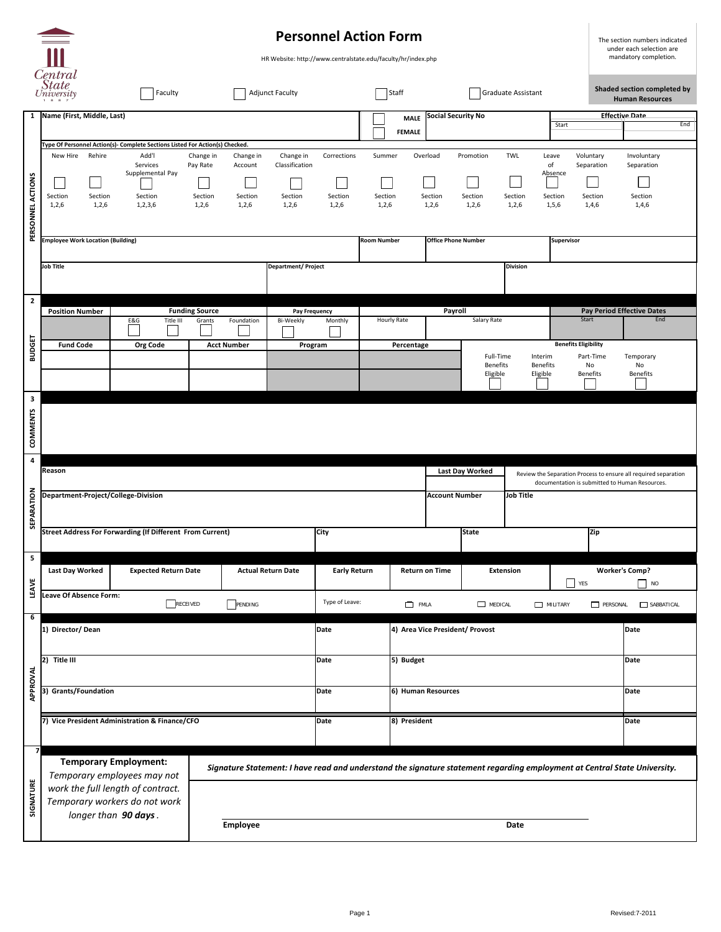|                                           | <b>Personnel Action Form</b><br>m                                                                                                                                                                         |                                                                                       |                                                                                                                                                                            |                                                                                                                           |                                                                                             |                                 |                                                         |                                        | The section numbers indicated<br>under each selection are                                 |                                                                                |     |
|-------------------------------------------|-----------------------------------------------------------------------------------------------------------------------------------------------------------------------------------------------------------|---------------------------------------------------------------------------------------|----------------------------------------------------------------------------------------------------------------------------------------------------------------------------|---------------------------------------------------------------------------------------------------------------------------|---------------------------------------------------------------------------------------------|---------------------------------|---------------------------------------------------------|----------------------------------------|-------------------------------------------------------------------------------------------|--------------------------------------------------------------------------------|-----|
| Central<br>State<br>University<br>Faculty |                                                                                                                                                                                                           |                                                                                       | <b>Adjunct Faculty</b>                                                                                                                                                     |                                                                                                                           | HR Website: http://www.centralstate.edu/faculty/hr/index.php<br>Graduate Assistant<br>Staff |                                 |                                                         |                                        | mandatory completion.<br>Shaded section completed by                                      |                                                                                |     |
| $\mathbf{1}$                              | Name (First, Middle, Last)                                                                                                                                                                                |                                                                                       |                                                                                                                                                                            | <b>Social Security No</b><br><b>MALE</b><br><b>FEMALE</b>                                                                 |                                                                                             |                                 |                                                         |                                        | Start                                                                                     | <b>Human Resources</b><br><b>Effective Date</b>                                | End |
| PERSONNEL ACTIONS                         | Type Of Personnel Action(s)- Complete Sections Listed For Action(s) Checked.<br>Rehire<br>Add'l<br>New Hire<br>Services<br>Supplemental Pay<br>Section<br>Section<br>Section<br>1,2,6<br>1,2,3,6<br>1,2,6 | Change in<br>Change in<br>Pay Rate<br>Account<br>Section<br>Section<br>1,2,6<br>1,2,6 | Change in<br>Classification<br>Section<br>1,2,6                                                                                                                            | Corrections<br>Section<br>1,2,6                                                                                           | Summer<br>Section<br>1,2,6                                                                  | Overload<br>Section<br>1,2,6    | Promotion<br>Section<br>1,2,6                           | <b>TWL</b><br>Section<br>1,2,6         | Voluntary<br>Leave<br>of<br>Separation<br>Absence<br>Section<br>Section<br>1,4,6<br>1,5,6 | Involuntary<br>Separation<br>Section<br>1,4,6                                  |     |
|                                           | <b>Employee Work Location (Building)</b><br>Job Title<br><b>Department/Project</b>                                                                                                                        |                                                                                       |                                                                                                                                                                            |                                                                                                                           | <b>Office Phone Number</b><br><b>Room Number</b><br>Supervisor<br><b>Division</b>           |                                 |                                                         |                                        |                                                                                           |                                                                                |     |
| $\mathbf{2}$<br><b>BUDGET</b>             | <b>Position Number</b><br>E&G<br>Title III<br><b>Fund Code</b><br><b>Org Code</b>                                                                                                                         | <b>Funding Source</b><br>Foundation<br>Grants<br><b>Acct Number</b>                   | <b>Pay Frequency</b><br>Bi-Weekly<br>Program                                                                                                                               | Monthly                                                                                                                   | <b>Hourly Rate</b><br>Percentage                                                            | Payroll                         | Salary Rate<br>Full-Time<br><b>Benefits</b><br>Eligible | Interim<br><b>Benefits</b><br>Eligible | Start<br><b>Benefits Eligibility</b><br>Part-Time<br>No<br><b>Benefits</b>                | <b>Pay Period Effective Dates</b><br>End<br>Temporary<br>No<br><b>Benefits</b> |     |
| $\mathbf{3}$<br>COMMENTS                  |                                                                                                                                                                                                           |                                                                                       |                                                                                                                                                                            |                                                                                                                           |                                                                                             |                                 |                                                         |                                        |                                                                                           |                                                                                |     |
| $\overline{\mathbf{4}}$<br>SEPARATION     | Reason<br>Department-Project/College-Division                                                                                                                                                             |                                                                                       | Last Day Worked<br>Review the Separation Process to ensure all required separation<br>documentation is submitted to Human Resources.<br>Job Title<br><b>Account Number</b> |                                                                                                                           |                                                                                             |                                 |                                                         |                                        |                                                                                           |                                                                                |     |
|                                           | <b>Street Address For Forwarding (If Different From Current)</b><br><b>City</b>                                                                                                                           |                                                                                       |                                                                                                                                                                            |                                                                                                                           |                                                                                             | <b>State</b>                    |                                                         |                                        | Zip                                                                                       |                                                                                |     |
| 5 <sub>1</sub><br>LEAVE                   | <b>Last Day Worked</b>                                                                                                                                                                                    | <b>Expected Return Date</b><br><b>Actual Return Date</b>                              |                                                                                                                                                                            | <b>Early Return</b>                                                                                                       |                                                                                             | <b>Return on Time</b>           | <b>Extension</b>                                        |                                        | $\Box$ YES                                                                                | <b>Worker's Comp?</b><br><b>NO</b>                                             |     |
| $6\overline{6}$                           | <b>Leave Of Absence Form:</b><br>RECEIVED<br>┌──┐<br>PENDING                                                                                                                                              |                                                                                       |                                                                                                                                                                            | Type of Leave:<br><b>FMLA</b><br>$\Box$ MEDICAL                                                                           |                                                                                             |                                 |                                                         |                                        | MILITARY                                                                                  | PERSONAL<br>SABBATICAL                                                         |     |
| APPROVAL                                  | 1) Director/Dean                                                                                                                                                                                          |                                                                                       |                                                                                                                                                                            | <b>Date</b>                                                                                                               |                                                                                             | 4) Area Vice President/ Provost |                                                         |                                        |                                                                                           | Date                                                                           |     |
|                                           | Title III<br>$ 2\rangle$                                                                                                                                                                                  | <b>Date</b>                                                                           | 5) Budget                                                                                                                                                                  |                                                                                                                           |                                                                                             |                                 |                                                         | <b>Date</b>                            |                                                                                           |                                                                                |     |
|                                           | <b>Grants/Foundation</b><br> 3)                                                                                                                                                                           |                                                                                       |                                                                                                                                                                            | Date                                                                                                                      |                                                                                             | 6) Human Resources              |                                                         |                                        |                                                                                           | <b>Date</b>                                                                    |     |
|                                           | 7) Vice President Administration & Finance/CFO                                                                                                                                                            |                                                                                       |                                                                                                                                                                            | <b>Date</b>                                                                                                               | 8) President                                                                                |                                 |                                                         |                                        |                                                                                           | Date                                                                           |     |
| $\overline{7}$<br>SIGNATURE               | <b>Temporary Employment:</b><br>Temporary employees may not                                                                                                                                               |                                                                                       |                                                                                                                                                                            | Signature Statement: I have read and understand the signature statement regarding employment at Central State University. |                                                                                             |                                 |                                                         |                                        |                                                                                           |                                                                                |     |
|                                           | work the full length of contract.<br>Temporary workers do not work                                                                                                                                        |                                                                                       |                                                                                                                                                                            |                                                                                                                           |                                                                                             |                                 |                                                         |                                        |                                                                                           |                                                                                |     |
|                                           | longer than 90 days.                                                                                                                                                                                      | <b>Employee</b>                                                                       | <b>Date</b>                                                                                                                                                                |                                                                                                                           |                                                                                             |                                 |                                                         |                                        |                                                                                           |                                                                                |     |